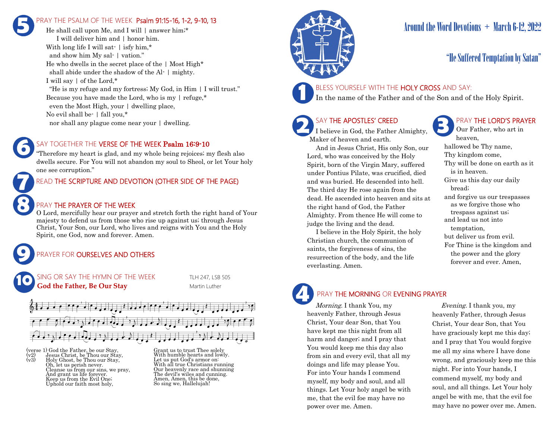## PRAY THE PSALM OF THE WEEK Psalm 91:15-16, 1-2, 9-10, 13 **5**

He shall call upon Me, and I will 1 answer him;\* I will deliver him and | honor him. With long life I will sat- | isfy him,\* and show him My sal- | vation." He who dwells in the secret place of the | Most High\* shall abide under the shadow of the Al- | mighty. I will say | of the Lord,\* "He is my refuge and my fortress; My God, in Him | I will trust." Because you have made the Lord, who is my | refuge,\* even the Most High, your | dwelling place, No evil shall be- | fall you,\* nor shall any plague come near your | dwelling.

### SAY TOGETHER THE VERSE OF THE WEEK Psalm 16:9-10

"Therefore my heart is glad, and my whole being rejoices; my flesh also dwells secure. For You will not abandon my soul to Sheol, or let Your holy one see corruption."

### READ THE SCRIPTURE AND DEVOTION (OTHER SIDE OF THE PAGE)

#### PRAY THE PRAYER OF THE WEEK

**9**

**8**

**7**

**6**

O Lord, mercifully hear our prayer and stretch forth the right hand of Your majesty to defend us from those who rise up against us; through Jesus Christ, Your Son, our Lord, who lives and reigns with You and the Holy Spirit, one God, now and forever. Amen.

## PRAYER FOR **OURSELVES AND OTHERS**



(verse 1) God the Father, be our Stay,<br>(v2) Jesus Christ, be Thou our Stay,<br>(v3) Holy Ghost, be Thou our Stay. (v2) Jesus Christ, be Thou our Stay, (v3) Holy Ghost, be Thou our Stay, Oh, let us perish never. Cleanse us from our sins, we pray, And grant us life forever. Keep us from the Evil One; Uphold our faith most holy,

Grant us to trust Thee solely With humble hearts and lowly. Let us put God's armor on: With all true Christians running Our heavenly race and shunning The devil's wiles and cunning. Amen, Amen, this be done, So sing we, Hallelujah!



## Around the Word Devotions + March 6-12, 2022

## "He Suffered Temptation by Satan"

#### BLESS YOURSELF WITH THE HOLY CROSS AND SAY:

In the name of the Father and of the Son and of the Holy Spirit.

## SAY THE APOSTLES' CREED

**2 SAY THE APOSTLES' CREED I** believe in God, the Father Almighty, Maker of heaven and earth.

 And in Jesus Christ, His only Son, our Lord, who was conceived by the Holy Spirit, born of the Virgin Mary, suffered under Pontius Pilate, was crucified, died and was buried. He descended into hell. The third day He rose again from the dead. He ascended into heaven and sits at the right hand of God, the Father Almighty. From thence He will come to judge the living and the dead.

 I believe in the Holy Spirit, the holy Christian church, the communion of saints, the forgiveness of sins, the resurrection of the body, and the life everlasting. Amen.

## PRAY THE LORD'S PRAYER

Our Father, who art in heaven, hallowed be Thy name, Thy kingdom come, Thy will be done on earth as it is in heaven. Give us this day our daily bread; and forgive us our trespasses as we forgive those who trespass against us; and lead us not into temptation, but deliver us from evil. For Thine is the kingdom and the power and the glory forever and ever. Amen.

# **4**

#### PRAY THE MORNING OR EVENING PRAYER

Morning. I thank You, my heavenly Father, through Jesus Christ, Your dear Son, that You have kept me this night from all harm and danger; and I pray that You would keep me this day also from sin and every evil, that all my doings and life may please You. For into Your hands I commend myself, my body and soul, and all things. Let Your holy angel be with me, that the evil foe may have no power over me. Amen.

 Evening. I thank you, my heavenly Father, through Jesus Christ, Your dear Son, that You have graciously kept me this day; and I pray that You would forgive me all my sins where I have done wrong, and graciously keep me this night. For into Your hands, I commend myself, my body and soul, and all things. Let Your holy angel be with me, that the evil foe may have no power over me. Amen.